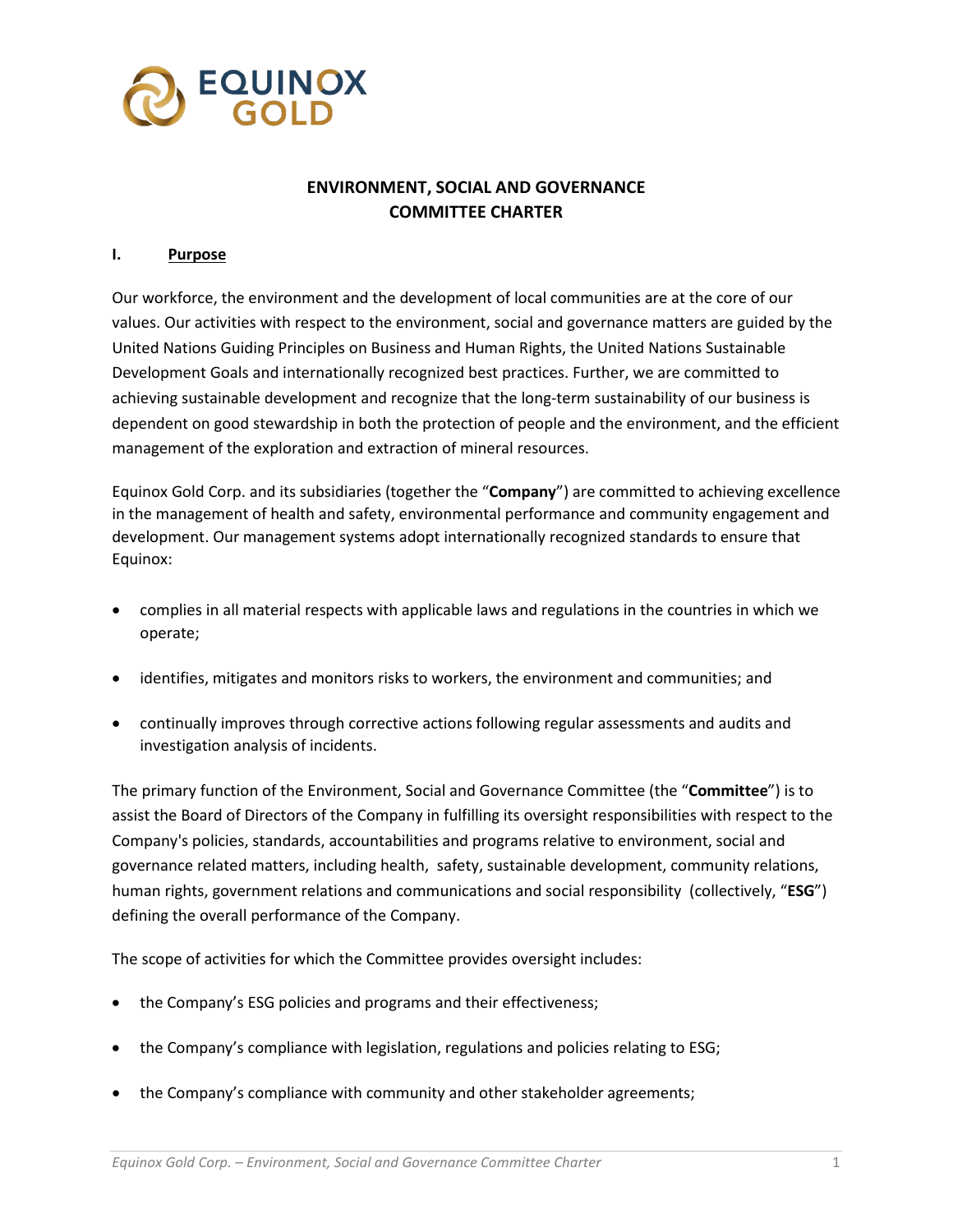

# **ENVIRONMENT, SOCIAL AND GOVERNANCE COMMITTEE CHARTER**

### **I. Purpose**

Our workforce, the environment and the development of local communities are at the core of our values. Our activities with respect to the environment, social and governance matters are guided by the United Nations Guiding Principles on Business and Human Rights, the United Nations Sustainable Development Goals and internationally recognized best practices. Further, we are committed to achieving sustainable development and recognize that the long-term sustainability of our business is dependent on good stewardship in both the protection of people and the environment, and the efficient management of the exploration and extraction of mineral resources.

Equinox Gold Corp. and its subsidiaries (together the "**Company**") are committed to achieving excellence in the management of health and safety, environmental performance and community engagement and development. Our management systems adopt internationally recognized standards to ensure that Equinox:

- complies in all material respects with applicable laws and regulations in the countries in which we operate;
- identifies, mitigates and monitors risks to workers, the environment and communities; and
- continually improves through corrective actions following regular assessments and audits and investigation analysis of incidents.

The primary function of the Environment, Social and Governance Committee (the "**Committee**") is to assist the Board of Directors of the Company in fulfilling its oversight responsibilities with respect to the Company's policies, standards, accountabilities and programs relative to environment, social and governance related matters, including health, safety, sustainable development, community relations, human rights, government relations and communications and social responsibility (collectively, "**ESG**") defining the overall performance of the Company.

The scope of activities for which the Committee provides oversight includes:

- the Company's ESG policies and programs and their effectiveness;
- the Company's compliance with legislation, regulations and policies relating to ESG;
- the Company's compliance with community and other stakeholder agreements;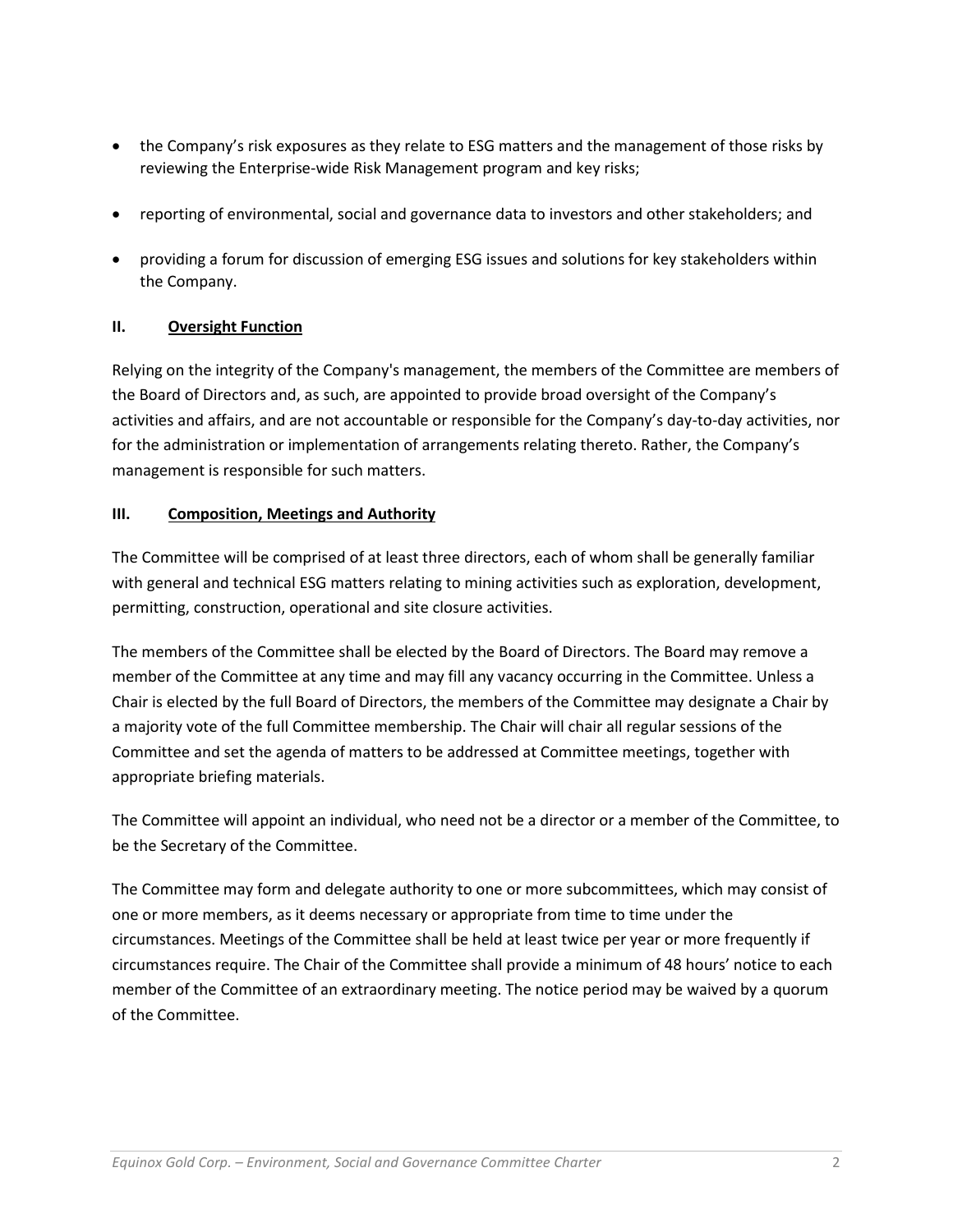- the Company's risk exposures as they relate to ESG matters and the management of those risks by reviewing the Enterprise-wide Risk Management program and key risks;
- reporting of environmental, social and governance data to investors and other stakeholders; and
- providing a forum for discussion of emerging ESG issues and solutions for key stakeholders within the Company.

## **II. Oversight Function**

Relying on the integrity of the Company's management, the members of the Committee are members of the Board of Directors and, as such, are appointed to provide broad oversight of the Company's activities and affairs, and are not accountable or responsible for the Company's day-to-day activities, nor for the administration or implementation of arrangements relating thereto. Rather, the Company's management is responsible for such matters.

## **III. Composition, Meetings and Authority**

The Committee will be comprised of at least three directors, each of whom shall be generally familiar with general and technical ESG matters relating to mining activities such as exploration, development, permitting, construction, operational and site closure activities.

The members of the Committee shall be elected by the Board of Directors. The Board may remove a member of the Committee at any time and may fill any vacancy occurring in the Committee. Unless a Chair is elected by the full Board of Directors, the members of the Committee may designate a Chair by a majority vote of the full Committee membership. The Chair will chair all regular sessions of the Committee and set the agenda of matters to be addressed at Committee meetings, together with appropriate briefing materials.

The Committee will appoint an individual, who need not be a director or a member of the Committee, to be the Secretary of the Committee.

The Committee may form and delegate authority to one or more subcommittees, which may consist of one or more members, as it deems necessary or appropriate from time to time under the circumstances. Meetings of the Committee shall be held at least twice per year or more frequently if circumstances require. The Chair of the Committee shall provide a minimum of 48 hours' notice to each member of the Committee of an extraordinary meeting. The notice period may be waived by a quorum of the Committee.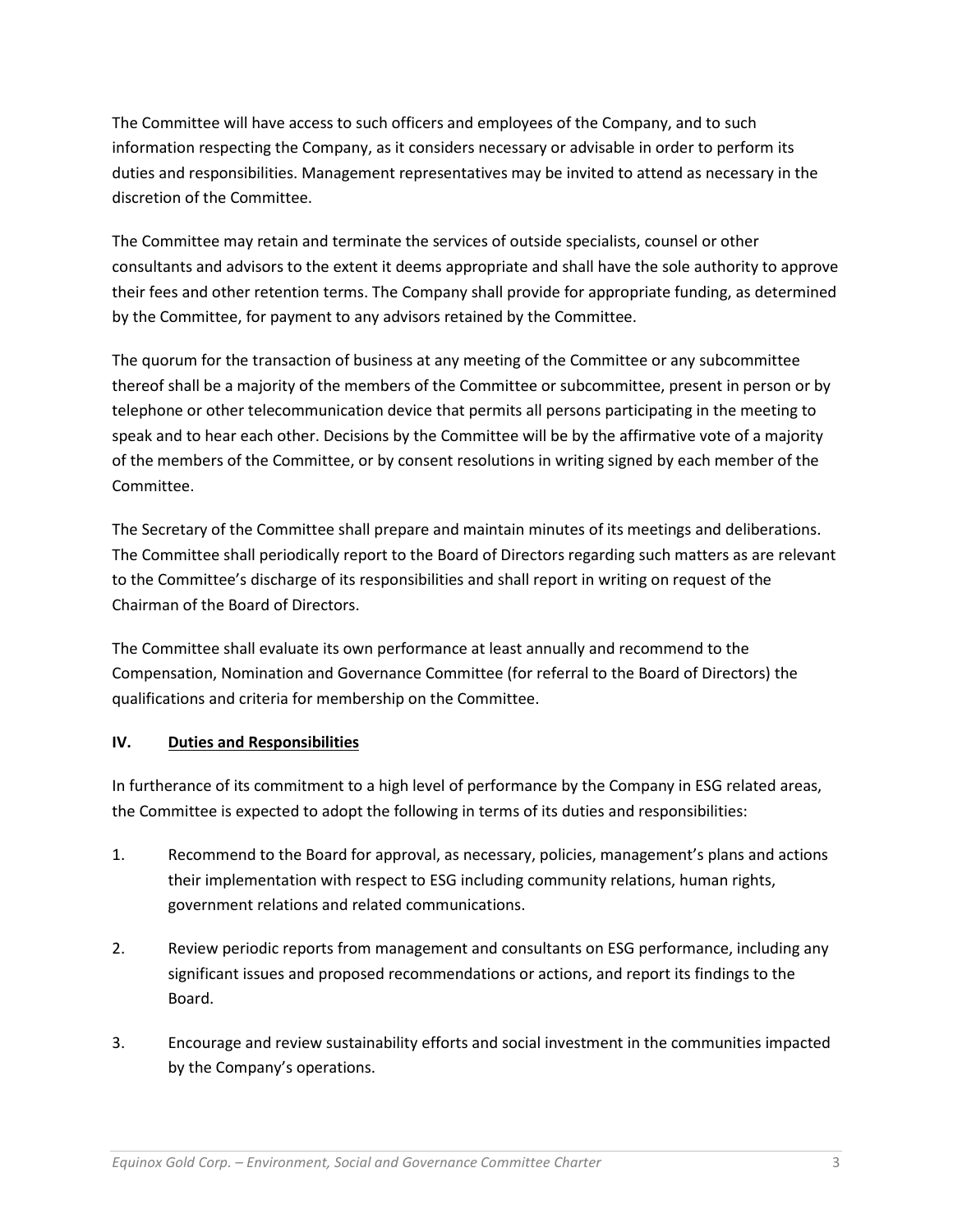The Committee will have access to such officers and employees of the Company, and to such information respecting the Company, as it considers necessary or advisable in order to perform its duties and responsibilities. Management representatives may be invited to attend as necessary in the discretion of the Committee.

The Committee may retain and terminate the services of outside specialists, counsel or other consultants and advisors to the extent it deems appropriate and shall have the sole authority to approve their fees and other retention terms. The Company shall provide for appropriate funding, as determined by the Committee, for payment to any advisors retained by the Committee.

The quorum for the transaction of business at any meeting of the Committee or any subcommittee thereof shall be a majority of the members of the Committee or subcommittee, present in person or by telephone or other telecommunication device that permits all persons participating in the meeting to speak and to hear each other. Decisions by the Committee will be by the affirmative vote of a majority of the members of the Committee, or by consent resolutions in writing signed by each member of the Committee.

The Secretary of the Committee shall prepare and maintain minutes of its meetings and deliberations. The Committee shall periodically report to the Board of Directors regarding such matters as are relevant to the Committee's discharge of its responsibilities and shall report in writing on request of the Chairman of the Board of Directors.

The Committee shall evaluate its own performance at least annually and recommend to the Compensation, Nomination and Governance Committee (for referral to the Board of Directors) the qualifications and criteria for membership on the Committee.

## **IV. Duties and Responsibilities**

In furtherance of its commitment to a high level of performance by the Company in ESG related areas, the Committee is expected to adopt the following in terms of its duties and responsibilities:

- 1. Recommend to the Board for approval, as necessary, policies, management's plans and actions their implementation with respect to ESG including community relations, human rights, government relations and related communications.
- 2. Review periodic reports from management and consultants on ESG performance, including any significant issues and proposed recommendations or actions, and report its findings to the Board.
- 3. Encourage and review sustainability efforts and social investment in the communities impacted by the Company's operations.